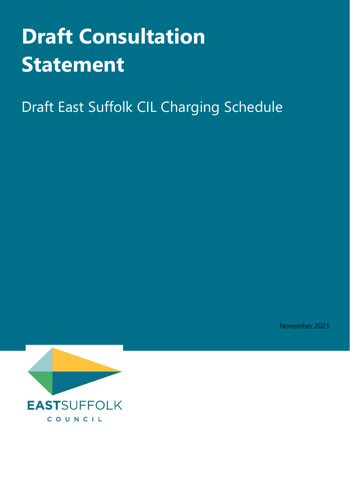# **Draft Consultation Statement**

Draft East Suffolk CIL Charging Schedule

November 2021

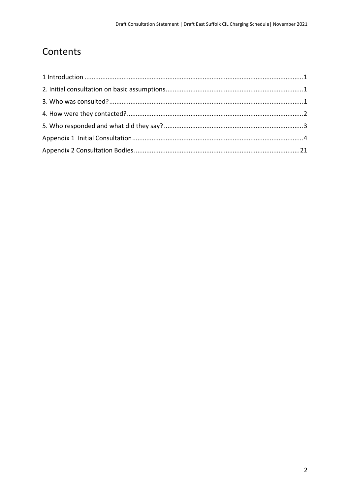# Contents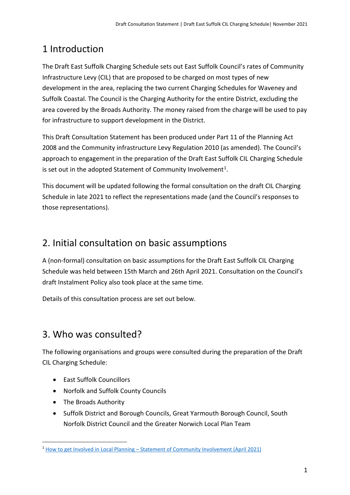# <span id="page-2-0"></span>1 Introduction

The Draft East Suffolk Charging Schedule sets out East Suffolk Council's rates of Community Infrastructure Levy (CIL) that are proposed to be charged on most types of new development in the area, replacing the two current Charging Schedules for Waveney and Suffolk Coastal. The Council is the Charging Authority for the entire District, excluding the area covered by the Broads Authority. The money raised from the charge will be used to pay for infrastructure to support development in the District.

This Draft Consultation Statement has been produced under Part 11 of the Planning Act 2008 and the Community infrastructure Levy Regulation 2010 (as amended). The Council's approach to engagement in the preparation of the Draft East Suffolk CIL Charging Schedule is set out in the adopted Statement of Community Involvement<sup>[1](#page-2-3)</sup>.

This document will be updated following the formal consultation on the draft CIL Charging Schedule in late 2021 to reflect the representations made (and the Council's responses to those representations).

## <span id="page-2-1"></span>2. Initial consultation on basic assumptions

A (non-formal) consultation on basic assumptions for the Draft East Suffolk CIL Charging Schedule was held between 15th March and 26th April 2021. Consultation on the Council's draft Instalment Policy also took place at the same time.

Details of this consultation process are set out below.

## <span id="page-2-2"></span>3. Who was consulted?

The following organisations and groups were consulted during the preparation of the Draft CIL Charging Schedule:

- East Suffolk Councillors
- Norfolk and Suffolk County Councils
- The Broads Authority
- Suffolk District and Borough Councils, Great Yarmouth Borough Council, South Norfolk District Council and the Greater Norwich Local Plan Team

<span id="page-2-3"></span><sup>1</sup> How to get Involved in Local Planning – [Statement of Community Involvement \(April 2021\)](https://www.eastsuffolk.gov.uk/assets/Planning/Planning-Policy-and-Local-Plans/Statement-of-Community-Involvement/Statement-of-Community-Involvement.pdf)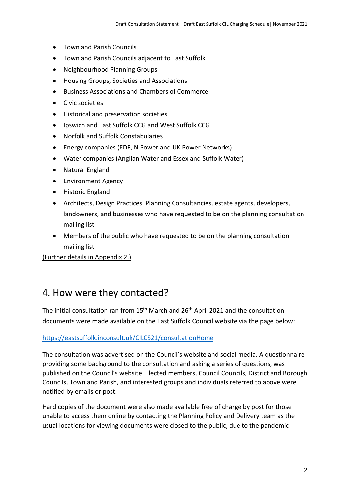- Town and Parish Councils
- Town and Parish Councils adjacent to East Suffolk
- Neighbourhood Planning Groups
- Housing Groups, Societies and Associations
- Business Associations and Chambers of Commerce
- Civic societies
- Historical and preservation societies
- Ipswich and East Suffolk CCG and West Suffolk CCG
- Norfolk and Suffolk Constabularies
- Energy companies (EDF, N Power and UK Power Networks)
- Water companies (Anglian Water and Essex and Suffolk Water)
- Natural England
- Environment Agency
- Historic England
- Architects, Design Practices, Planning Consultancies, estate agents, developers, landowners, and businesses who have requested to be on the planning consultation mailing list
- Members of the public who have requested to be on the planning consultation mailing list

(Further details in Appendix 2.)

### <span id="page-3-0"></span>4. How were they contacted?

The initial consultation ran from  $15<sup>th</sup>$  March and  $26<sup>th</sup>$  April 2021 and the consultation documents were made available on the East Suffolk Council website via the page below:

#### <https://eastsuffolk.inconsult.uk/CILCS21/consultationHome>

The consultation was advertised on the Council's website and social media. A questionnaire providing some background to the consultation and asking a series of questions, was published on the Council's website. Elected members, Council Councils, District and Borough Councils, Town and Parish, and interested groups and individuals referred to above were notified by emails or post.

Hard copies of the document were also made available free of charge by post for those unable to access them online by contacting the Planning Policy and Delivery team as the usual locations for viewing documents were closed to the public, due to the pandemic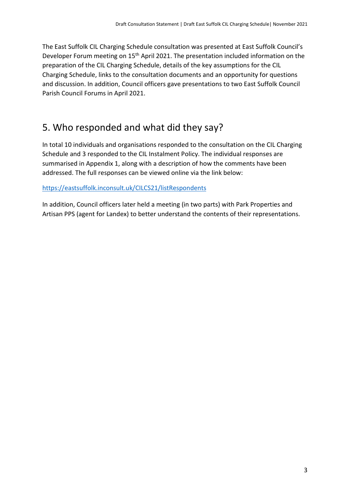The East Suffolk CIL Charging Schedule consultation was presented at East Suffolk Council's Developer Forum meeting on 15<sup>th</sup> April 2021. The presentation included information on the preparation of the CIL Charging Schedule, details of the key assumptions for the CIL Charging Schedule, links to the consultation documents and an opportunity for questions and discussion. In addition, Council officers gave presentations to two East Suffolk Council Parish Council Forums in April 2021.

## <span id="page-4-0"></span>5. Who responded and what did they say?

In total 10 individuals and organisations responded to the consultation on the CIL Charging Schedule and 3 responded to the CIL Instalment Policy. The individual responses are summarised in Appendix 1, along with a description of how the comments have been addressed. The full responses can be viewed online via the link below:

#### <https://eastsuffolk.inconsult.uk/CILCS21/listRespondents>

In addition, Council officers later held a meeting (in two parts) with Park Properties and Artisan PPS (agent for Landex) to better understand the contents of their representations.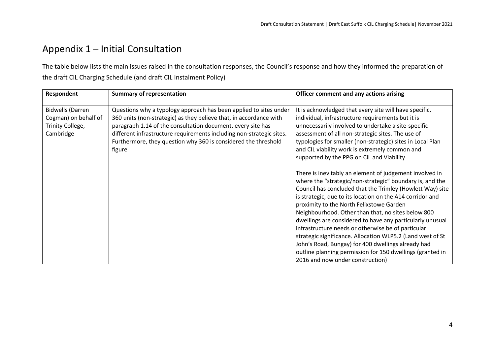# Appendix 1 – Initial Consultation

The table below lists the main issues raised in the consultation responses, the Council's response and how they informed the preparation of the draft CIL Charging Schedule (and draft CIL Instalment Policy)

<span id="page-5-0"></span>

| Respondent                                                                       | <b>Summary of representation</b>                                                                                                                                                                                                                                                                                                                           | Officer comment and any actions arising                                                                                                                                                                                                                                                                                                                                                                                                                                                                                                                                                                                                                                                 |
|----------------------------------------------------------------------------------|------------------------------------------------------------------------------------------------------------------------------------------------------------------------------------------------------------------------------------------------------------------------------------------------------------------------------------------------------------|-----------------------------------------------------------------------------------------------------------------------------------------------------------------------------------------------------------------------------------------------------------------------------------------------------------------------------------------------------------------------------------------------------------------------------------------------------------------------------------------------------------------------------------------------------------------------------------------------------------------------------------------------------------------------------------------|
| <b>Bidwells (Darren</b><br>Cogman) on behalf of<br>Trinity College,<br>Cambridge | Questions why a typology approach has been applied to sites under<br>360 units (non-strategic) as they believe that, in accordance with<br>paragraph 1.14 of the consultation document, every site has<br>different infrastructure requirements including non-strategic sites.<br>Furthermore, they question why 360 is considered the threshold<br>figure | It is acknowledged that every site will have specific,<br>individual, infrastructure requirements but it is<br>unnecessarily involved to undertake a site-specific<br>assessment of all non-strategic sites. The use of<br>typologies for smaller (non-strategic) sites in Local Plan<br>and CIL viability work is extremely common and<br>supported by the PPG on CIL and Viability                                                                                                                                                                                                                                                                                                    |
|                                                                                  |                                                                                                                                                                                                                                                                                                                                                            | There is inevitably an element of judgement involved in<br>where the "strategic/non-strategic" boundary is, and the<br>Council has concluded that the Trimley (Howlett Way) site<br>is strategic, due to its location on the A14 corridor and<br>proximity to the North Felixstowe Garden<br>Neighbourhood. Other than that, no sites below 800<br>dwellings are considered to have any particularly unusual<br>infrastructure needs or otherwise be of particular<br>strategic significance. Allocation WLP5.2 (Land west of St<br>John's Road, Bungay) for 400 dwellings already had<br>outline planning permission for 150 dwellings (granted in<br>2016 and now under construction) |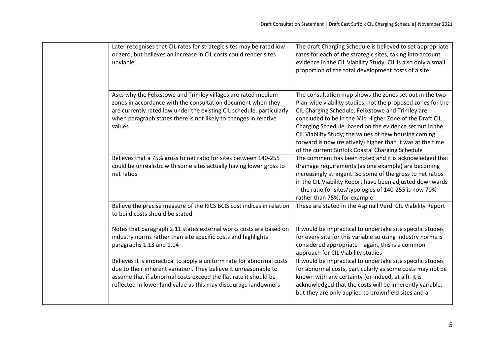|  | Later recognises that CIL rates for strategic sites may be rated low<br>or zero, but believes an increase in CIL costs could render sites<br>unviable                                                                                                                                | The draft Charging Schedule is believed to set appropriate<br>rates for each of the strategic sites, taking into account<br>evidence in the CIL Viability Study. CIL is also only a small<br>proportion of the total development costs of a site                                                                                                                                                                                                                             |
|--|--------------------------------------------------------------------------------------------------------------------------------------------------------------------------------------------------------------------------------------------------------------------------------------|------------------------------------------------------------------------------------------------------------------------------------------------------------------------------------------------------------------------------------------------------------------------------------------------------------------------------------------------------------------------------------------------------------------------------------------------------------------------------|
|  | Asks why the Felixstowe and Trimley villages are rated medium<br>zones in accordance with the consultation document when they<br>are currently rated low under the existing CIL schedule, particularly<br>when paragraph states there is not likely to changes in relative<br>values | The consultation map shows the zones set out in the two<br>Plan-wide viability studies, not the proposed zones for the<br>CIL Charging Schedule. Felixstowe and Trimley are<br>concluded to be in the Mid Higher Zone of the Draft CIL<br>Charging Schedule, based on the evidence set out in the<br>CIL Viability Study; the values of new housing coming<br>forward is now (relatively) higher than it was at the time<br>of the current Suffolk Coastal Charging Schedule |
|  | Believes that a 75% gross to net ratio for sites between 140-255<br>could be unrealistic with some sites actually having lower gross to<br>net ratios                                                                                                                                | The comment has been noted and it is acknowledged that<br>drainage requirements (as one example) are becoming<br>increasingly stringent. So some of the gross to net ratios<br>in the CIL Viability Report have been adjusted downwards<br>- the ratio for sites/typologies of 140-255 is now 70%<br>rather than 75%, for example                                                                                                                                            |
|  | Believe the precise measure of the RICS BCIS cost indices in relation<br>to build costs should be stated                                                                                                                                                                             | These are stated in the Aspinall Verdi CIL Viability Report                                                                                                                                                                                                                                                                                                                                                                                                                  |
|  | Notes that paragraph 2.11 states external works costs are based on<br>industry norms rather than site specific costs and highlights<br>paragraphs 1.13 and 1.14                                                                                                                      | It would be impractical to undertake site specific studies<br>for every site for this variable so using industry norms is<br>considered appropriate - again, this is a common<br>approach for CIL Viability studies                                                                                                                                                                                                                                                          |
|  | Believes it is impractical to apply a uniform rate for abnormal costs<br>due to their inherent variation. They believe it unreasonable to<br>assume that if abnormal costs exceed the flat rate it should be<br>reflected in lower land value as this may discourage landowners      | It would be impractical to undertake site specific studies<br>for abnormal costs, particularly as some costs may not be<br>known with any certainty (or indeed, at all). It is<br>acknowledged that the costs will be inherently variable,<br>but they are only applied to brownfield sites and a                                                                                                                                                                            |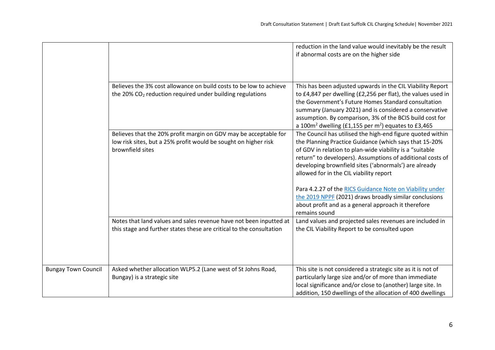|                            |                                                                       | reduction in the land value would inevitably be the result                                                                 |
|----------------------------|-----------------------------------------------------------------------|----------------------------------------------------------------------------------------------------------------------------|
|                            |                                                                       | if abnormal costs are on the higher side                                                                                   |
|                            |                                                                       |                                                                                                                            |
|                            |                                                                       |                                                                                                                            |
|                            | Believes the 3% cost allowance on build costs to be low to achieve    |                                                                                                                            |
|                            | the 20% CO <sub>2</sub> reduction required under building regulations | This has been adjusted upwards in the CIL Viability Report<br>to £4,847 per dwelling (£2,256 per flat), the values used in |
|                            |                                                                       | the Government's Future Homes Standard consultation                                                                        |
|                            |                                                                       | summary (January 2021) and is considered a conservative                                                                    |
|                            |                                                                       | assumption. By comparison, 3% of the BCIS build cost for                                                                   |
|                            |                                                                       | a 100 $m2$ dwelling (£1,155 per m <sup>2</sup> ) equates to £3,465                                                         |
|                            | Believes that the 20% profit margin on GDV may be acceptable for      | The Council has utilised the high-end figure quoted within                                                                 |
|                            | low risk sites, but a 25% profit would be sought on higher risk       | the Planning Practice Guidance (which says that 15-20%                                                                     |
|                            | brownfield sites                                                      | of GDV in relation to plan-wide viability is a "suitable                                                                   |
|                            |                                                                       | return" to developers). Assumptions of additional costs of                                                                 |
|                            |                                                                       | developing brownfield sites ('abnormals') are already                                                                      |
|                            |                                                                       | allowed for in the CIL viability report                                                                                    |
|                            |                                                                       |                                                                                                                            |
|                            |                                                                       | Para 4.2.27 of the RICS Guidance Note on Viability under                                                                   |
|                            |                                                                       | the 2019 NPPF (2021) draws broadly similar conclusions                                                                     |
|                            |                                                                       | about profit and as a general approach it therefore<br>remains sound                                                       |
|                            | Notes that land values and sales revenue have not been inputted at    | Land values and projected sales revenues are included in                                                                   |
|                            | this stage and further states these are critical to the consultation  | the CIL Viability Report to be consulted upon                                                                              |
|                            |                                                                       |                                                                                                                            |
|                            |                                                                       |                                                                                                                            |
|                            |                                                                       |                                                                                                                            |
|                            |                                                                       |                                                                                                                            |
| <b>Bungay Town Council</b> | Asked whether allocation WLP5.2 (Lane west of St Johns Road,          | This site is not considered a strategic site as it is not of                                                               |
|                            | Bungay) is a strategic site                                           | particularly large size and/or of more than immediate                                                                      |
|                            |                                                                       | local significance and/or close to (another) large site. In                                                                |
|                            |                                                                       | addition, 150 dwellings of the allocation of 400 dwellings                                                                 |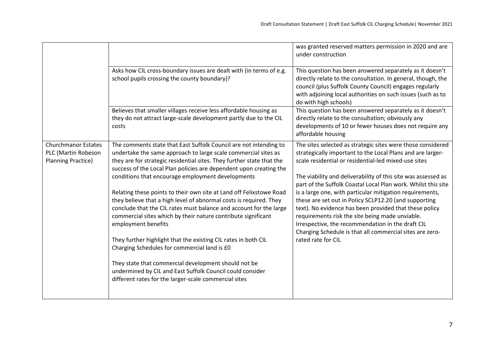|                                                                                |                                                                                                                                                                                                                                                                                                                                                                                                                                                                                                                                                                                                                                                                                                                                                                                                                                                                                                                                                    | was granted reserved matters permission in 2020 and are<br>under construction                                                                                                                                                                                                                                                                                                                                                                                                                                                                                                                                                                                                                |
|--------------------------------------------------------------------------------|----------------------------------------------------------------------------------------------------------------------------------------------------------------------------------------------------------------------------------------------------------------------------------------------------------------------------------------------------------------------------------------------------------------------------------------------------------------------------------------------------------------------------------------------------------------------------------------------------------------------------------------------------------------------------------------------------------------------------------------------------------------------------------------------------------------------------------------------------------------------------------------------------------------------------------------------------|----------------------------------------------------------------------------------------------------------------------------------------------------------------------------------------------------------------------------------------------------------------------------------------------------------------------------------------------------------------------------------------------------------------------------------------------------------------------------------------------------------------------------------------------------------------------------------------------------------------------------------------------------------------------------------------------|
|                                                                                | Asks how CIL cross-boundary issues are dealt with (in terms of e.g.<br>school pupils crossing the county boundary)?                                                                                                                                                                                                                                                                                                                                                                                                                                                                                                                                                                                                                                                                                                                                                                                                                                | This question has been answered separately as it doesn't<br>directly relate to the consultation. In general, though, the<br>council (plus Suffolk County Council) engages regularly<br>with adjoining local authorities on such issues (such as to<br>do with high schools)                                                                                                                                                                                                                                                                                                                                                                                                                  |
|                                                                                | Believes that smaller villages receive less affordable housing as<br>they do not attract large-scale development partly due to the CIL<br>costs                                                                                                                                                                                                                                                                                                                                                                                                                                                                                                                                                                                                                                                                                                                                                                                                    | This question has been answered separately as it doesn't<br>directly relate to the consultation; obviously any<br>developments of 10 or fewer houses does not require any<br>affordable housing                                                                                                                                                                                                                                                                                                                                                                                                                                                                                              |
| <b>Churchmanor Estates</b><br>PLC (Martin Robeson<br><b>Planning Practice)</b> | The comments state that East Suffolk Council are not intending to<br>undertake the same approach to large scale commercial sites as<br>they are for strategic residential sites. They further state that the<br>success of the Local Plan policies are dependent upon creating the<br>conditions that encourage employment developments<br>Relating these points to their own site at Land off Felixstowe Road<br>they believe that a high level of abnormal costs is required. They<br>conclude that the CIL rates must balance and account for the large<br>commercial sites which by their nature contribute significant<br>employment benefits<br>They further highlight that the existing CIL rates in both CIL<br>Charging Schedules for commercial land is £0<br>They state that commercial development should not be<br>undermined by CIL and East Suffolk Council could consider<br>different rates for the larger-scale commercial sites | The sites selected as strategic sites were those considered<br>strategically important to the Local Plans and are larger-<br>scale residential or residential-led mixed-use sites<br>The viability and deliverability of this site was assessed as<br>part of the Suffolk Coastal Local Plan work. Whilst this site<br>is a large one, with particular mitigation requirements,<br>these are set out in Policy SCLP12.20 (and supporting<br>text). No evidence has been provided that these policy<br>requirements risk the site being made unviable.<br>Irrespective, the recommendation in the draft CIL<br>Charging Schedule is that all commercial sites are zero-<br>rated rate for CIL |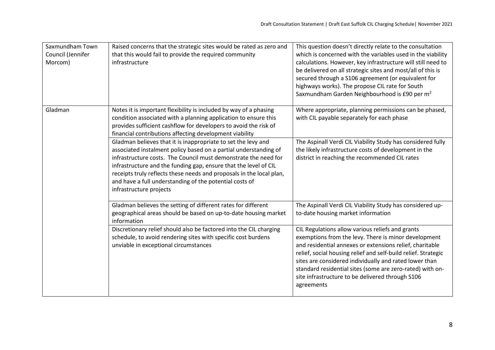| Saxmundham Town<br>Council (Jennifer<br>Morcom) | Raised concerns that the strategic sites would be rated as zero and<br>that this would fail to provide the required community<br>infrastructure                                                                                                                                                                                                                                                                                        | This question doesn't directly relate to the consultation<br>which is concerned with the variables used in the viability<br>calculations. However, key infrastructure will still need to<br>be delivered on all strategic sites and most/all of this is<br>secured through a S106 agreement (or equivalent for<br>highways works). The propose CIL rate for South<br>Saxmundham Garden Neighbourhood is £90 per m <sup>2</sup>  |
|-------------------------------------------------|----------------------------------------------------------------------------------------------------------------------------------------------------------------------------------------------------------------------------------------------------------------------------------------------------------------------------------------------------------------------------------------------------------------------------------------|---------------------------------------------------------------------------------------------------------------------------------------------------------------------------------------------------------------------------------------------------------------------------------------------------------------------------------------------------------------------------------------------------------------------------------|
| Gladman                                         | Notes it is important flexibility is included by way of a phasing<br>condition associated with a planning application to ensure this<br>provides sufficient cashflow for developers to avoid the risk of<br>financial contributions affecting development viability                                                                                                                                                                    | Where appropriate, planning permissions can be phased,<br>with CIL payable separately for each phase                                                                                                                                                                                                                                                                                                                            |
|                                                 | Gladman believes that it is inappropriate to set the levy and<br>associated instalment policy based on a partial understanding of<br>infrastructure costs. The Council must demonstrate the need for<br>infrastructure and the funding gap, ensure that the level of CIL<br>receipts truly reflects these needs and proposals in the local plan,<br>and have a full understanding of the potential costs of<br>infrastructure projects | The Aspinall Verdi CIL Viability Study has considered fully<br>the likely infrastructure costs of development in the<br>district in reaching the recommended CIL rates                                                                                                                                                                                                                                                          |
|                                                 | Gladman believes the setting of different rates for different<br>geographical areas should be based on up-to-date housing market<br>information                                                                                                                                                                                                                                                                                        | The Aspinall Verdi CIL Viability Study has considered up-<br>to-date housing market information                                                                                                                                                                                                                                                                                                                                 |
|                                                 | Discretionary relief should also be factored into the CIL charging<br>schedule, to avoid rendering sites with specific cost burdens<br>unviable in exceptional circumstances                                                                                                                                                                                                                                                           | CIL Regulations allow various reliefs and grants<br>exemptions from the levy. There is minor development<br>and residential annexes or extensions relief, charitable<br>relief, social housing relief and self-build relief. Strategic<br>sites are considered individually and rated lower than<br>standard residential sites (some are zero-rated) with on-<br>site infrastructure to be delivered through S106<br>agreements |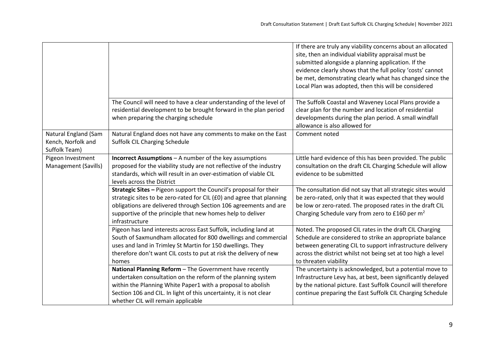|                                                             |                                                                                                                                                                                                                                                                                                    | If there are truly any viability concerns about an allocated<br>site, then an individual viability appraisal must be<br>submitted alongside a planning application. If the<br>evidence clearly shows that the full policy 'costs' cannot<br>be met, demonstrating clearly what has changed since the<br>Local Plan was adopted, then this will be considered |
|-------------------------------------------------------------|----------------------------------------------------------------------------------------------------------------------------------------------------------------------------------------------------------------------------------------------------------------------------------------------------|--------------------------------------------------------------------------------------------------------------------------------------------------------------------------------------------------------------------------------------------------------------------------------------------------------------------------------------------------------------|
|                                                             | The Council will need to have a clear understanding of the level of<br>residential development to be brought forward in the plan period<br>when preparing the charging schedule                                                                                                                    | The Suffolk Coastal and Waveney Local Plans provide a<br>clear plan for the number and location of residential<br>developments during the plan period. A small windfall<br>allowance is also allowed for                                                                                                                                                     |
| Natural England (Sam<br>Kench, Norfolk and<br>Suffolk Team) | Natural England does not have any comments to make on the East<br>Suffolk CIL Charging Schedule                                                                                                                                                                                                    | Comment noted                                                                                                                                                                                                                                                                                                                                                |
| Pigeon Investment<br>Management (Savills)                   | <b>Incorrect Assumptions - A number of the key assumptions</b><br>proposed for the viability study are not reflective of the industry<br>standards, which will result in an over-estimation of viable CIL<br>levels across the District                                                            | Little hard evidence of this has been provided. The public<br>consultation on the draft CIL Charging Schedule will allow<br>evidence to be submitted                                                                                                                                                                                                         |
|                                                             | Strategic Sites - Pigeon support the Council's proposal for their<br>strategic sites to be zero-rated for CIL (£0) and agree that planning<br>obligations are delivered through Section 106 agreements and are<br>supportive of the principle that new homes help to deliver<br>infrastructure     | The consultation did not say that all strategic sites would<br>be zero-rated, only that it was expected that they would<br>be low or zero-rated. The proposed rates in the draft CIL<br>Charging Schedule vary from zero to £160 per m <sup>2</sup>                                                                                                          |
|                                                             | Pigeon has land interests across East Suffolk, including land at<br>South of Saxmundham allocated for 800 dwellings and commercial<br>uses and land in Trimley St Martin for 150 dwellings. They<br>therefore don't want CIL costs to put at risk the delivery of new<br>homes                     | Noted. The proposed CIL rates in the draft CIL Charging<br>Schedule are considered to strike an appropriate balance<br>between generating CIL to support infrastructure delivery<br>across the district whilst not being set at too high a level<br>to threaten viability                                                                                    |
|                                                             | National Planning Reform - The Government have recently<br>undertaken consultation on the reform of the planning system<br>within the Planning White Paper1 with a proposal to abolish<br>Section 106 and CIL. In light of this uncertainty, it is not clear<br>whether CIL will remain applicable | The uncertainty is acknowledged, but a potential move to<br>Infrastructure Levy has, at best, been significantly delayed<br>by the national picture. East Suffolk Council will therefore<br>continue preparing the East Suffolk CIL Charging Schedule                                                                                                        |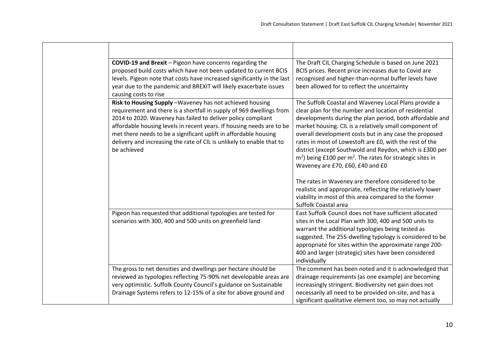| COVID-19 and Brexit - Pigeon have concerns regarding the<br>proposed build costs which have not been updated to current BCIS<br>levels. Pigeon note that costs have increased significantly in the last<br>year due to the pandemic and BREXIT will likely exacerbate issues<br>causing costs to rise                                                                                                                                  | The Draft CIL Charging Schedule is based on June 2021<br>BCIS prices. Recent price increases due to Covid are<br>recognised and higher-than-normal buffer levels have<br>been allowed for to reflect the uncertainty                                                                                                                                                                                                                                                                                                                 |
|----------------------------------------------------------------------------------------------------------------------------------------------------------------------------------------------------------------------------------------------------------------------------------------------------------------------------------------------------------------------------------------------------------------------------------------|--------------------------------------------------------------------------------------------------------------------------------------------------------------------------------------------------------------------------------------------------------------------------------------------------------------------------------------------------------------------------------------------------------------------------------------------------------------------------------------------------------------------------------------|
| Risk to Housing Supply - Waveney has not achieved housing<br>requirement and there is a shortfall in supply of 969 dwellings from<br>2014 to 2020. Waveney has failed to deliver policy compliant<br>affordable housing levels in recent years. If housing needs are to be<br>met there needs to be a significant uplift in affordable housing<br>delivery and increasing the rate of CIL is unlikely to enable that to<br>be achieved | The Suffolk Coastal and Waveney Local Plans provide a<br>clear plan for the number and location of residential<br>developments during the plan period, both affordable and<br>market housing. CIL is a relatively small component of<br>overall development costs but in any case the proposed<br>rates in most of Lowestoft are £0, with the rest of the<br>district (except Southwold and Reydon, which is £300 per<br>$m2$ ) being £100 per m <sup>2</sup> . The rates for strategic sites in<br>Waveney are £70, £60, £40 and £0 |
|                                                                                                                                                                                                                                                                                                                                                                                                                                        | The rates in Waveney are therefore considered to be<br>realistic and appropriate, reflecting the relatively lower<br>viability in most of this area compared to the former<br>Suffolk Coastal area                                                                                                                                                                                                                                                                                                                                   |
| Pigeon has requested that additional typologies are tested for<br>scenarios with 300, 400 and 500 units on greenfield land                                                                                                                                                                                                                                                                                                             | East Suffolk Council does not have sufficient allocated<br>sites in the Local Plan with 300, 400 and 500 units to<br>warrant the additional typologies being tested as<br>suggested. The 255-dwelling typology is considered to be<br>appropriate for sites within the approximate range 200-<br>400 and larger (strategic) sites have been considered<br>individually                                                                                                                                                               |
| The gross to net densities and dwellings per hectare should be<br>reviewed as typologies reflecting 75-90% net developable areas are<br>very optimistic. Suffolk County Council's guidance on Sustainable<br>Drainage Systems refers to 12-15% of a site for above ground and                                                                                                                                                          | The comment has been noted and it is acknowledged that<br>drainage requirements (as one example) are becoming<br>increasingly stringent. Biodiversity net gain does not<br>necessarily all need to be provided on-site, and has a<br>significant qualitative element too, so may not actually                                                                                                                                                                                                                                        |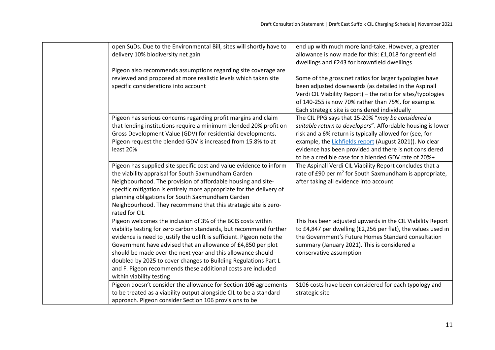| open SuDs. Due to the Environmental Bill, sites will shortly have to  | end up with much more land-take. However, a greater          |
|-----------------------------------------------------------------------|--------------------------------------------------------------|
| delivery 10% biodiversity net gain                                    | allowance is now made for this: £1,018 for greenfield        |
|                                                                       | dwellings and £243 for brownfield dwellings                  |
| Pigeon also recommends assumptions regarding site coverage are        |                                                              |
| reviewed and proposed at more realistic levels which taken site       | Some of the gross:net ratios for larger typologies have      |
| specific considerations into account                                  | been adjusted downwards (as detailed in the Aspinall         |
|                                                                       | Verdi CIL Viability Report) - the ratio for sites/typologies |
|                                                                       | of 140-255 is now 70% rather than 75%, for example.          |
|                                                                       | Each strategic site is considered individually               |
| Pigeon has serious concerns regarding profit margins and claim        | The CIL PPG says that 15-20% "may be considered a            |
| that lending institutions require a minimum blended 20% profit on     | suitable return to developers". Affordable housing is lower  |
| Gross Development Value (GDV) for residential developments.           | risk and a 6% return is typically allowed for (see, for      |
| Pigeon request the blended GDV is increased from 15.8% to at          | example, the Lichfields report (August 2021)). No clear      |
| least 20%                                                             | evidence has been provided and there is not considered       |
|                                                                       | to be a credible case for a blended GDV rate of 20%+         |
| Pigeon has supplied site specific cost and value evidence to inform   | The Aspinall Verdi CIL Viability Report concludes that a     |
| the viability appraisal for South Saxmundham Garden                   | rate of £90 per $m^2$ for South Saxmundham is appropriate,   |
| Neighbourhood. The provision of affordable housing and site-          | after taking all evidence into account                       |
| specific mitigation is entirely more appropriate for the delivery of  |                                                              |
| planning obligations for South Saxmundham Garden                      |                                                              |
| Neighbourhood. They recommend that this strategic site is zero-       |                                                              |
| rated for CIL                                                         |                                                              |
| Pigeon welcomes the inclusion of 3% of the BCIS costs within          | This has been adjusted upwards in the CIL Viability Report   |
| viability testing for zero carbon standards, but recommend further    | to £4,847 per dwelling (£2,256 per flat), the values used in |
| evidence is need to justify the uplift is sufficient. Pigeon note the | the Government's Future Homes Standard consultation          |
| Government have advised that an allowance of £4,850 per plot          | summary (January 2021). This is considered a                 |
| should be made over the next year and this allowance should           | conservative assumption                                      |
| doubled by 2025 to cover changes to Building Regulations Part L       |                                                              |
| and F. Pigeon recommends these additional costs are included          |                                                              |
| within viability testing                                              |                                                              |
| Pigeon doesn't consider the allowance for Section 106 agreements      | S106 costs have been considered for each typology and        |
| to be treated as a viability output alongside CIL to be a standard    | strategic site                                               |
| approach. Pigeon consider Section 106 provisions to be                |                                                              |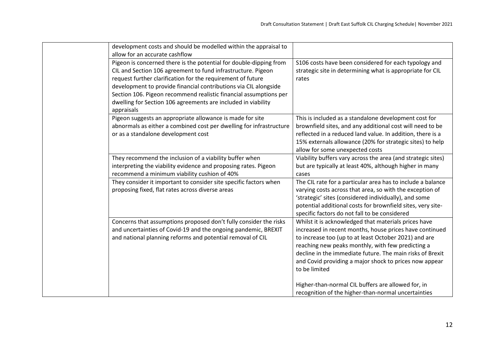| development costs and should be modelled within the appraisal to            |                                                              |
|-----------------------------------------------------------------------------|--------------------------------------------------------------|
| allow for an accurate cashflow                                              |                                                              |
| Pigeon is concerned there is the potential for double-dipping from          | S106 costs have been considered for each typology and        |
| CIL and Section 106 agreement to fund infrastructure. Pigeon                | strategic site in determining what is appropriate for CIL    |
| request further clarification for the requirement of future                 | rates                                                        |
| development to provide financial contributions via CIL alongside            |                                                              |
| Section 106. Pigeon recommend realistic financial assumptions per           |                                                              |
| dwelling for Section 106 agreements are included in viability<br>appraisals |                                                              |
| Pigeon suggests an appropriate allowance is made for site                   | This is included as a standalone development cost for        |
| abnormals as either a combined cost per dwelling for infrastructure         | brownfield sites, and any additional cost will need to be    |
| or as a standalone development cost                                         | reflected in a reduced land value. In addition, there is a   |
|                                                                             | 15% externals allowance (20% for strategic sites) to help    |
|                                                                             | allow for some unexpected costs                              |
| They recommend the inclusion of a viability buffer when                     | Viability buffers vary across the area (and strategic sites) |
| interpreting the viability evidence and proposing rates. Pigeon             | but are typically at least 40%, although higher in many      |
| recommend a minimum viability cushion of 40%                                | cases                                                        |
| They consider it important to consider site specific factors when           | The CIL rate for a particular area has to include a balance  |
| proposing fixed, flat rates across diverse areas                            | varying costs across that area, so with the exception of     |
|                                                                             | 'strategic' sites (considered individually), and some        |
|                                                                             | potential additional costs for brownfield sites, very site-  |
|                                                                             | specific factors do not fall to be considered                |
| Concerns that assumptions proposed don't fully consider the risks           | Whilst it is acknowledged that materials prices have         |
| and uncertainties of Covid-19 and the ongoing pandemic, BREXIT              | increased in recent months, house prices have continued      |
| and national planning reforms and potential removal of CIL                  | to increase too (up to at least October 2021) and are        |
|                                                                             | reaching new peaks monthly, with few predicting a            |
|                                                                             | decline in the immediate future. The main risks of Brexit    |
|                                                                             | and Covid providing a major shock to prices now appear       |
|                                                                             | to be limited                                                |
|                                                                             |                                                              |
|                                                                             | Higher-than-normal CIL buffers are allowed for, in           |
|                                                                             | recognition of the higher-than-normal uncertainties          |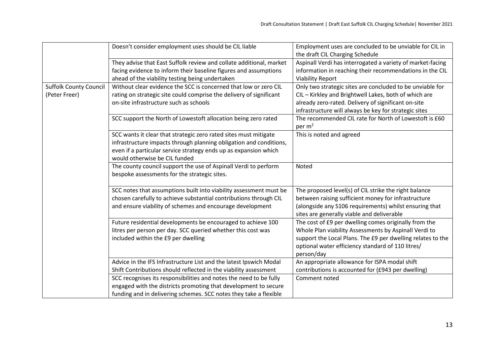|                               | Doesn't consider employment uses should be CIL liable               | Employment uses are concluded to be unviable for CIL in     |
|-------------------------------|---------------------------------------------------------------------|-------------------------------------------------------------|
|                               |                                                                     | the draft CIL Charging Schedule                             |
|                               | They advise that East Suffolk review and collate additional, market | Aspinall Verdi has interrogated a variety of market-facing  |
|                               | facing evidence to inform their baseline figures and assumptions    | information in reaching their recommendations in the CIL    |
|                               | ahead of the viability testing being undertaken                     | <b>Viability Report</b>                                     |
| <b>Suffolk County Council</b> | Without clear evidence the SCC is concerned that low or zero CIL    | Only two strategic sites are concluded to be unviable for   |
| (Peter Freer)                 | rating on strategic site could comprise the delivery of significant | CIL - Kirkley and Brightwell Lakes, both of which are       |
|                               | on-site infrastructure such as schools                              | already zero-rated. Delivery of significant on-site         |
|                               |                                                                     | infrastructure will always be key for strategic sites       |
|                               | SCC support the North of Lowestoft allocation being zero rated      | The recommended CIL rate for North of Lowestoft is £60      |
|                               |                                                                     | per $m2$                                                    |
|                               | SCC wants it clear that strategic zero rated sites must mitigate    | This is noted and agreed                                    |
|                               | infrastructure impacts through planning obligation and conditions,  |                                                             |
|                               | even if a particular service strategy ends up as expansion which    |                                                             |
|                               | would otherwise be CIL funded                                       |                                                             |
|                               | The county council support the use of Aspinall Verdi to perform     | Noted                                                       |
|                               | bespoke assessments for the strategic sites.                        |                                                             |
|                               |                                                                     |                                                             |
|                               | SCC notes that assumptions built into viability assessment must be  | The proposed level(s) of CIL strike the right balance       |
|                               | chosen carefully to achieve substantial contributions through CIL   | between raising sufficient money for infrastructure         |
|                               | and ensure viability of schemes and encourage development           | (alongside any S106 requirements) whilst ensuring that      |
|                               |                                                                     | sites are generally viable and deliverable                  |
|                               | Future residential developments be encouraged to achieve 100        | The cost of £9 per dwelling comes originally from the       |
|                               | litres per person per day. SCC queried whether this cost was        | Whole Plan viability Assessments by Aspinall Verdi to       |
|                               | included within the £9 per dwelling                                 | support the Local Plans. The £9 per dwelling relates to the |
|                               |                                                                     | optional water efficiency standard of 110 litres/           |
|                               |                                                                     | person/day                                                  |
|                               | Advice in the IFS Infrastructure List and the latest Ipswich Modal  | An appropriate allowance for ISPA modal shift               |
|                               | Shift Contributions should reflected in the viability assessment    | contributions is accounted for (£943 per dwelling)          |
|                               | SCC recognises its responsibilities and notes the need to be fully  | Comment noted                                               |
|                               | engaged with the districts promoting that development to secure     |                                                             |
|                               | funding and in delivering schemes. SCC notes they take a flexible   |                                                             |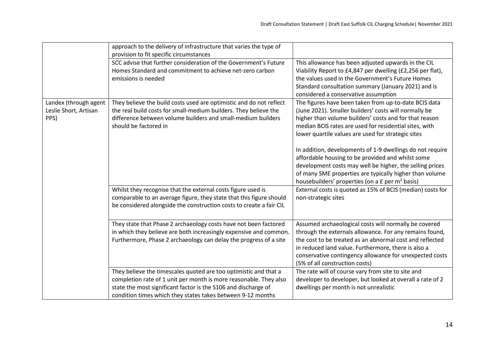|                                                        | approach to the delivery of infrastructure that varies the type of<br>provision to fit specific circumstances                                                                                                                                                                                    |                                                                                                                                                                                                                                                                                                                                                                                                                                                                                                                                                                                                                                                                  |
|--------------------------------------------------------|--------------------------------------------------------------------------------------------------------------------------------------------------------------------------------------------------------------------------------------------------------------------------------------------------|------------------------------------------------------------------------------------------------------------------------------------------------------------------------------------------------------------------------------------------------------------------------------------------------------------------------------------------------------------------------------------------------------------------------------------------------------------------------------------------------------------------------------------------------------------------------------------------------------------------------------------------------------------------|
|                                                        | SCC advise that further consideration of the Government's Future<br>Homes Standard and commitment to achieve net-zero carbon<br>emissions is needed                                                                                                                                              | This allowance has been adjusted upwards in the CIL<br>Viability Report to £4,847 per dwelling (£2,256 per flat),<br>the values used in the Government's Future Homes<br>Standard consultation summary (January 2021) and is<br>considered a conservative assumption                                                                                                                                                                                                                                                                                                                                                                                             |
| Landex (through agent<br>Leslie Short, Artisan<br>PPS) | They believe the build costs used are optimistic and do not reflect<br>the real build costs for small-medium builders. They believe the<br>difference between volume builders and small-medium builders<br>should be factored in<br>Whilst they recognise that the external costs figure used is | The figures have been taken from up-to-date BCIS data<br>(June 2021). Smaller builders' costs will normally be<br>higher than volume builders' costs and for that reason<br>median BCIS rates are used for residential sites, with<br>lower quartile values are used for strategic sites<br>In addition, developments of 1-9 dwellings do not require<br>affordable housing to be provided and whilst some<br>development costs may well be higher, the selling prices<br>of many SME properties are typically higher than volume<br>housebuilders' properties (on a $E$ per m <sup>2</sup> basis)<br>External costs is quoted as 15% of BCIS (median) costs for |
|                                                        | comparable to an average figure, they state that this figure should<br>be considered alongside the construction costs to create a fair CIL                                                                                                                                                       | non-strategic sites                                                                                                                                                                                                                                                                                                                                                                                                                                                                                                                                                                                                                                              |
|                                                        | They state that Phase 2 archaeology costs have not been factored<br>in which they believe are both increasingly expensive and common.<br>Furthermore, Phase 2 archaeology can delay the progress of a site                                                                                       | Assumed archaeological costs will normally be covered<br>through the externals allowance. For any remains found,<br>the cost to be treated as an abnormal cost and reflected<br>in reduced land value. Furthermore, there is also a<br>conservative contingency allowance for unexpected costs<br>(5% of all construction costs)                                                                                                                                                                                                                                                                                                                                 |
|                                                        | They believe the timescales quoted are too optimistic and that a<br>completion rate of 1 unit per month is more reasonable. They also<br>state the most significant factor is the S106 and discharge of<br>condition times which they states takes between 9-12 months                           | The rate will of course vary from site to site and<br>developer to developer, but looked at overall a rate of 2<br>dwellings per month is not unrealistic                                                                                                                                                                                                                                                                                                                                                                                                                                                                                                        |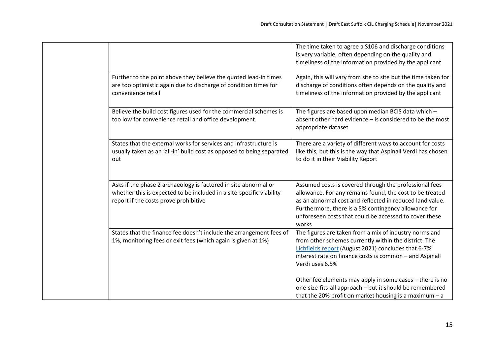|  |                                                                                                                                                                                  | The time taken to agree a S106 and discharge conditions<br>is very variable, often depending on the quality and<br>timeliness of the information provided by the applicant                                                                                                                                |
|--|----------------------------------------------------------------------------------------------------------------------------------------------------------------------------------|-----------------------------------------------------------------------------------------------------------------------------------------------------------------------------------------------------------------------------------------------------------------------------------------------------------|
|  | Further to the point above they believe the quoted lead-in times<br>are too optimistic again due to discharge of condition times for<br>convenience retail                       | Again, this will vary from site to site but the time taken for<br>discharge of conditions often depends on the quality and<br>timeliness of the information provided by the applicant                                                                                                                     |
|  | Believe the build cost figures used for the commercial schemes is<br>too low for convenience retail and office development.                                                      | The figures are based upon median BCIS data which -<br>absent other hard evidence - is considered to be the most<br>appropriate dataset                                                                                                                                                                   |
|  | States that the external works for services and infrastructure is<br>usually taken as an 'all-in' build cost as opposed to being separated<br>out                                | There are a variety of different ways to account for costs<br>like this, but this is the way that Aspinall Verdi has chosen<br>to do it in their Viability Report                                                                                                                                         |
|  | Asks if the phase 2 archaeology is factored in site abnormal or<br>whether this is expected to be included in a site-specific viability<br>report if the costs prove prohibitive | Assumed costs is covered through the professional fees<br>allowance. For any remains found, the cost to be treated<br>as an abnormal cost and reflected in reduced land value.<br>Furthermore, there is a 5% contingency allowance for<br>unforeseen costs that could be accessed to cover these<br>works |
|  | States that the finance fee doesn't include the arrangement fees of<br>1%, monitoring fees or exit fees (which again is given at 1%)                                             | The figures are taken from a mix of industry norms and<br>from other schemes currently within the district. The<br>Lichfields report (August 2021) concludes that 6-7%<br>interest rate on finance costs is common - and Aspinall<br>Verdi uses 6.5%                                                      |
|  |                                                                                                                                                                                  | Other fee elements may apply in some cases – there is no<br>one-size-fits-all approach - but it should be remembered<br>that the 20% profit on market housing is a maximum $- a$                                                                                                                          |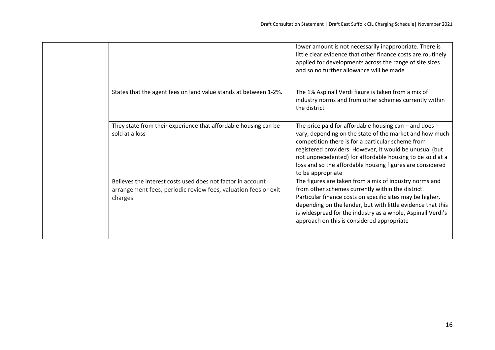|  |                                                                                                                                          | lower amount is not necessarily inappropriate. There is<br>little clear evidence that other finance costs are routinely<br>applied for developments across the range of site sizes<br>and so no further allowance will be made                                                                                                                                                       |
|--|------------------------------------------------------------------------------------------------------------------------------------------|--------------------------------------------------------------------------------------------------------------------------------------------------------------------------------------------------------------------------------------------------------------------------------------------------------------------------------------------------------------------------------------|
|  | States that the agent fees on land value stands at between 1-2%.                                                                         | The 1% Aspinall Verdi figure is taken from a mix of<br>industry norms and from other schemes currently within<br>the district                                                                                                                                                                                                                                                        |
|  | They state from their experience that affordable housing can be<br>sold at a loss                                                        | The price paid for affordable housing can $-$ and does $-$<br>vary, depending on the state of the market and how much<br>competition there is for a particular scheme from<br>registered providers. However, it would be unusual (but<br>not unprecedented) for affordable housing to be sold at a<br>loss and so the affordable housing figures are considered<br>to be appropriate |
|  | Believes the interest costs used does not factor in account<br>arrangement fees, periodic review fees, valuation fees or exit<br>charges | The figures are taken from a mix of industry norms and<br>from other schemes currently within the district.<br>Particular finance costs on specific sites may be higher,<br>depending on the lender, but with little evidence that this<br>is widespread for the industry as a whole, Aspinall Verdi's<br>approach on this is considered appropriate                                 |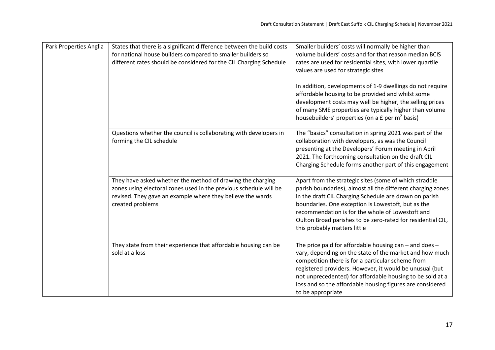| Park Properties Anglia | States that there is a significant difference between the build costs<br>for national house builders compared to smaller builders so<br>different rates should be considered for the CIL Charging Schedule        | Smaller builders' costs will normally be higher than<br>volume builders' costs and for that reason median BCIS<br>rates are used for residential sites, with lower quartile<br>values are used for strategic sites<br>In addition, developments of 1-9 dwellings do not require<br>affordable housing to be provided and whilst some<br>development costs may well be higher, the selling prices<br>of many SME properties are typically higher than volume<br>housebuilders' properties (on a £ per m <sup>2</sup> basis) |
|------------------------|-------------------------------------------------------------------------------------------------------------------------------------------------------------------------------------------------------------------|----------------------------------------------------------------------------------------------------------------------------------------------------------------------------------------------------------------------------------------------------------------------------------------------------------------------------------------------------------------------------------------------------------------------------------------------------------------------------------------------------------------------------|
|                        | Questions whether the council is collaborating with developers in<br>forming the CIL schedule                                                                                                                     | The "basics" consultation in spring 2021 was part of the<br>collaboration with developers, as was the Council<br>presenting at the Developers' Forum meeting in April<br>2021. The forthcoming consultation on the draft CIL<br>Charging Schedule forms another part of this engagement                                                                                                                                                                                                                                    |
|                        | They have asked whether the method of drawing the charging<br>zones using electoral zones used in the previous schedule will be<br>revised. They gave an example where they believe the wards<br>created problems | Apart from the strategic sites (some of which straddle<br>parish boundaries), almost all the different charging zones<br>in the draft CIL Charging Schedule are drawn on parish<br>boundaries. One exception is Lowestoft, but as the<br>recommendation is for the whole of Lowestoft and<br>Oulton Broad parishes to be zero-rated for residential CIL,<br>this probably matters little                                                                                                                                   |
|                        | They state from their experience that affordable housing can be<br>sold at a loss                                                                                                                                 | The price paid for affordable housing can - and does -<br>vary, depending on the state of the market and how much<br>competition there is for a particular scheme from<br>registered providers. However, it would be unusual (but<br>not unprecedented) for affordable housing to be sold at a<br>loss and so the affordable housing figures are considered<br>to be appropriate                                                                                                                                           |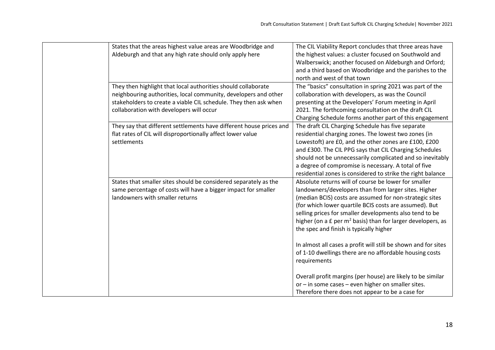| States that the areas highest value areas are Woodbridge and        | The CIL Viability Report concludes that three areas have                  |
|---------------------------------------------------------------------|---------------------------------------------------------------------------|
| Aldeburgh and that any high rate should only apply here             | the highest values: a cluster focused on Southwold and                    |
|                                                                     | Walberswick; another focused on Aldeburgh and Orford;                     |
|                                                                     | and a third based on Woodbridge and the parishes to the                   |
|                                                                     | north and west of that town                                               |
| They then highlight that local authorities should collaborate       | The "basics" consultation in spring 2021 was part of the                  |
| neighbouring authorities, local community, developers and other     | collaboration with developers, as was the Council                         |
| stakeholders to create a viable CIL schedule. They then ask when    | presenting at the Developers' Forum meeting in April                      |
| collaboration with developers will occur                            | 2021. The forthcoming consultation on the draft CIL                       |
|                                                                     | Charging Schedule forms another part of this engagement                   |
| They say that different settlements have different house prices and | The draft CIL Charging Schedule has five separate                         |
| flat rates of CIL will disproportionally affect lower value         | residential charging zones. The lowest two zones (in                      |
| settlements                                                         | Lowestoft) are £0, and the other zones are £100, £200                     |
|                                                                     | and £300. The CIL PPG says that CIL Charging Schedules                    |
|                                                                     | should not be unnecessarily complicated and so inevitably                 |
|                                                                     | a degree of compromise is necessary. A total of five                      |
|                                                                     | residential zones is considered to strike the right balance               |
| States that smaller sites should be considered separately as the    | Absolute returns will of course be lower for smaller                      |
| same percentage of costs will have a bigger impact for smaller      | landowners/developers than from larger sites. Higher                      |
| landowners with smaller returns                                     | (median BCIS) costs are assumed for non-strategic sites                   |
|                                                                     | (for which lower quartile BCIS costs are assumed). But                    |
|                                                                     | selling prices for smaller developments also tend to be                   |
|                                                                     | higher (on a $E$ per m <sup>2</sup> basis) than for larger developers, as |
|                                                                     | the spec and finish is typically higher                                   |
|                                                                     |                                                                           |
|                                                                     | In almost all cases a profit will still be shown and for sites            |
|                                                                     | of 1-10 dwellings there are no affordable housing costs                   |
|                                                                     | requirements                                                              |
|                                                                     |                                                                           |
|                                                                     | Overall profit margins (per house) are likely to be similar               |
|                                                                     | or - in some cases - even higher on smaller sites.                        |
|                                                                     | Therefore there does not appear to be a case for                          |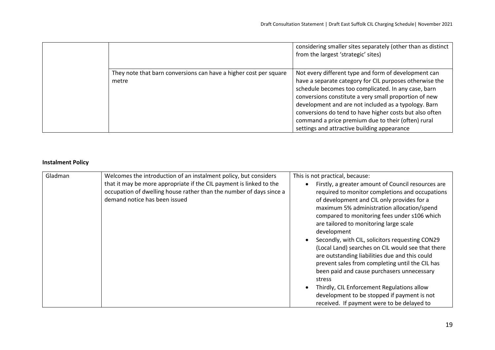|                                                                            | considering smaller sites separately (other than as distinct<br>from the largest 'strategic' sites)                                                                                                                                                                                                                                                                                                                                                     |
|----------------------------------------------------------------------------|---------------------------------------------------------------------------------------------------------------------------------------------------------------------------------------------------------------------------------------------------------------------------------------------------------------------------------------------------------------------------------------------------------------------------------------------------------|
| They note that barn conversions can have a higher cost per square<br>metre | Not every different type and form of development can<br>have a separate category for CIL purposes otherwise the<br>schedule becomes too complicated. In any case, barn<br>conversions constitute a very small proportion of new<br>development and are not included as a typology. Barn<br>conversions do tend to have higher costs but also often<br>command a price premium due to their (often) rural<br>settings and attractive building appearance |

#### **Instalment Policy**

| Gladman | Welcomes the introduction of an instalment policy, but considers                                                                                                            | This is not practical, because:                                                                                                                                                                                                                                                                                                                                                                                                                                                                                                                                                                                                                                              |
|---------|-----------------------------------------------------------------------------------------------------------------------------------------------------------------------------|------------------------------------------------------------------------------------------------------------------------------------------------------------------------------------------------------------------------------------------------------------------------------------------------------------------------------------------------------------------------------------------------------------------------------------------------------------------------------------------------------------------------------------------------------------------------------------------------------------------------------------------------------------------------------|
|         | that it may be more appropriate if the CIL payment is linked to the<br>occupation of dwelling house rather than the number of days since a<br>demand notice has been issued | Firstly, a greater amount of Council resources are<br>required to monitor completions and occupations<br>of development and CIL only provides for a<br>maximum 5% administration allocation/spend<br>compared to monitoring fees under s106 which<br>are tailored to monitoring large scale<br>development<br>Secondly, with CIL, solicitors requesting CON29<br>(Local Land) searches on CIL would see that there<br>are outstanding liabilities due and this could<br>prevent sales from completing until the CIL has<br>been paid and cause purchasers unnecessary<br>stress<br>Thirdly, CIL Enforcement Regulations allow<br>development to be stopped if payment is not |
|         |                                                                                                                                                                             | received. If payment were to be delayed to                                                                                                                                                                                                                                                                                                                                                                                                                                                                                                                                                                                                                                   |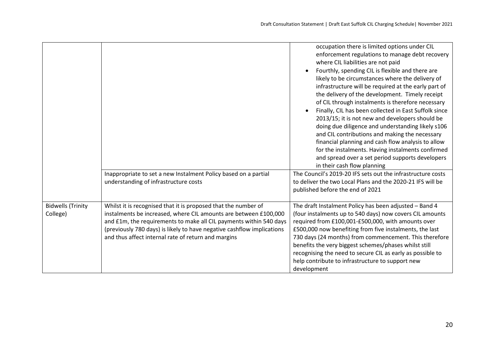|                                      |                                                                                                                                                                                                                                                                                                                                           | occupation there is limited options under CIL<br>enforcement regulations to manage debt recovery<br>where CIL liabilities are not paid<br>Fourthly, spending CIL is flexible and there are<br>likely to be circumstances where the delivery of<br>infrastructure will be required at the early part of<br>the delivery of the development. Timely receipt<br>of CIL through instalments is therefore necessary<br>Finally, CIL has been collected in East Suffolk since<br>2013/15; it is not new and developers should be<br>doing due diligence and understanding likely s106<br>and CIL contributions and making the necessary<br>financial planning and cash flow analysis to allow<br>for the instalments. Having instalments confirmed<br>and spread over a set period supports developers<br>in their cash flow planning |
|--------------------------------------|-------------------------------------------------------------------------------------------------------------------------------------------------------------------------------------------------------------------------------------------------------------------------------------------------------------------------------------------|---------------------------------------------------------------------------------------------------------------------------------------------------------------------------------------------------------------------------------------------------------------------------------------------------------------------------------------------------------------------------------------------------------------------------------------------------------------------------------------------------------------------------------------------------------------------------------------------------------------------------------------------------------------------------------------------------------------------------------------------------------------------------------------------------------------------------------|
|                                      | Inappropriate to set a new Instalment Policy based on a partial<br>understanding of infrastructure costs                                                                                                                                                                                                                                  | The Council's 2019-20 IFS sets out the infrastructure costs<br>to deliver the two Local Plans and the 2020-21 IFS will be<br>published before the end of 2021                                                                                                                                                                                                                                                                                                                                                                                                                                                                                                                                                                                                                                                                   |
| <b>Bidwells (Trinity</b><br>College) | Whilst it is recognised that it is proposed that the number of<br>instalments be increased, where CIL amounts are between £100,000<br>and £1m, the requirements to make all CIL payments within 540 days<br>(previously 780 days) is likely to have negative cashflow implications<br>and thus affect internal rate of return and margins | The draft Instalment Policy has been adjusted - Band 4<br>(four instalments up to 540 days) now covers CIL amounts<br>required from £100,001-£500,000, with amounts over<br>£500,000 now benefiting from five instalments, the last<br>730 days (24 months) from commencement. This therefore<br>benefits the very biggest schemes/phases whilst still<br>recognising the need to secure CIL as early as possible to<br>help contribute to infrastructure to support new<br>development                                                                                                                                                                                                                                                                                                                                         |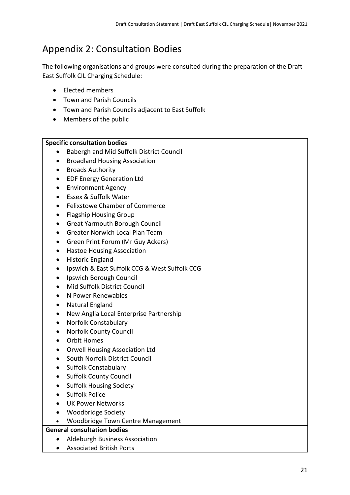## <span id="page-22-0"></span>Appendix 2: Consultation Bodies

The following organisations and groups were consulted during the preparation of the Draft East Suffolk CIL Charging Schedule:

- Elected members
- Town and Parish Councils
- Town and Parish Councils adjacent to East Suffolk
- Members of the public

#### **Specific consultation bodies**

- Babergh and Mid Suffolk District Council
- Broadland Housing Association
- Broads Authority
- EDF Energy Generation Ltd
- Environment Agency
- Essex & Suffolk Water
- Felixstowe Chamber of Commerce
- Flagship Housing Group
- Great Yarmouth Borough Council
- Greater Norwich Local Plan Team
- Green Print Forum (Mr Guy Ackers)
- Hastoe Housing Association
- Historic England
- Ipswich & East Suffolk CCG & West Suffolk CCG
- Ipswich Borough Council
- Mid Suffolk District Council
- N Power Renewables
- Natural England
- New Anglia Local Enterprise Partnership
- Norfolk Constabulary
- Norfolk County Council
- Orbit Homes
- Orwell Housing Association Ltd
- South Norfolk District Council
- Suffolk Constabulary
- Suffolk County Council
- Suffolk Housing Society
- Suffolk Police
- UK Power Networks
- Woodbridge Society
- Woodbridge Town Centre Management

#### **General consultation bodies**

- Aldeburgh Business Association
- Associated British Ports